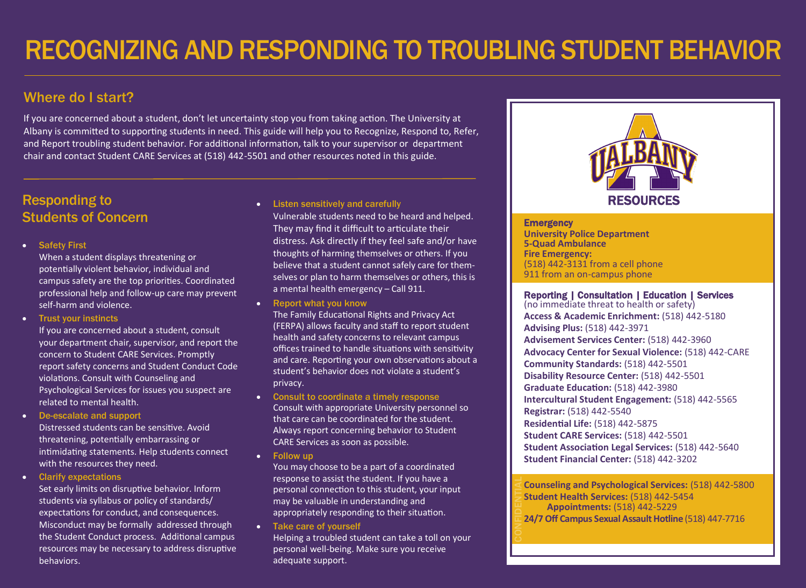# Where do I start?

If you are concerned about a student, don't let uncertainty stop you from taking action. The University at Albany is committed to supporting students in need. This guide will help you to Recognize, Respond to, Refer, and Report troubling student behavior. For additional information, talk to your supervisor or department chair and contact Student CARE Services at (518) 442-5501 and other resources noted in this guide.

# Responding to Students of Concern

**Safety First** 

When a student displays threatening or potentially violent behavior, individual and campus safety are the top priorities. Coordinated professional help and follow-up care may prevent self-harm and violence.

• Trust your instincts

If you are concerned about a student, consult your department chair, supervisor, and report the concern to Student CARE Services. Promptly report safety concerns and Student Conduct Code violations. Consult with Counseling and Psychological Services for issues you suspect are related to mental health.

De-escalate and support

Distressed students can be sensitive. Avoid threatening, potentially embarrassing or intimidating statements. Help students connect with the resources they need.

Clarify expectations

Set early limits on disruptive behavior. Inform students via syllabus or policy of standards/ expectations for conduct, and consequences. Misconduct may be formally addressed through the Student Conduct process. Additional campus resources may be necessary to address disruptive behaviors.

**.** Listen sensitively and carefully Vulnerable students need to be heard and helped. They may find it difficult to articulate their distress. Ask directly if they feel safe and/or have thoughts of harming themselves or others. If you believe that a student cannot safely care for themselves or plan to harm themselves or others, this is a mental health emergency – Call 911.

• Report what you know

The Family Educational Rights and Privacy Act (FERPA) allows faculty and staff to report student health and safety concerns to relevant campus offices trained to handle situations with sensitivity and care. Reporting your own observations about a student's behavior does not violate a student's privacy.

- Consult to coordinate a timely response Consult with appropriate University personnel so that care can be coordinated for the student. Always report concerning behavior to Student CARE Services as soon as possible.
- Follow up

You may choose to be a part of a coordinated response to assist the student. If you have a personal connection to this student, your input may be valuable in understanding and appropriately responding to their situation.

• Take care of yourself

Helping a troubled student can take a toll on your personal well-being. Make sure you receive adequate support.



**Emergency University Police Department 5-Quad Ambulance Fire Emergency:**  (518) 442-3131 from a cell phone 911 from an on-campus phone

#### Ξ Reporting | Consultation | Education | Services

(no immediate threat to health or safety) **Access & Academic Enrichment:** (518) 442-5180 **Advising Plus:** (518) 442-3971 **Advisement Services Center:** (518) 442-3960 **Advocacy Center for Sexual Violence:** (518) 442-CARE **Community Standards:** (518) 442-5501 **Disability Resource Center:** (518) 442-5501 **Graduate Education:** (518) 442-3980 **Intercultural Student Engagement:** (518) 442-5565 **Registrar:** (518) 442-5540 **Residential Life:** (518) 442-5875 **Student CARE Services:** (518) 442-5501 **Student Association Legal Services:** (518) 442-5640 **Student Financial Center:** (518) 442-3202

**Counseling and Psychological Services: (518) 442-5800 Student Health Services:** (518) 442-5454  **Appointments:** (518) 442-5229 **24/7 Off Campus Sexual Assault Hotline** (518) 447-7716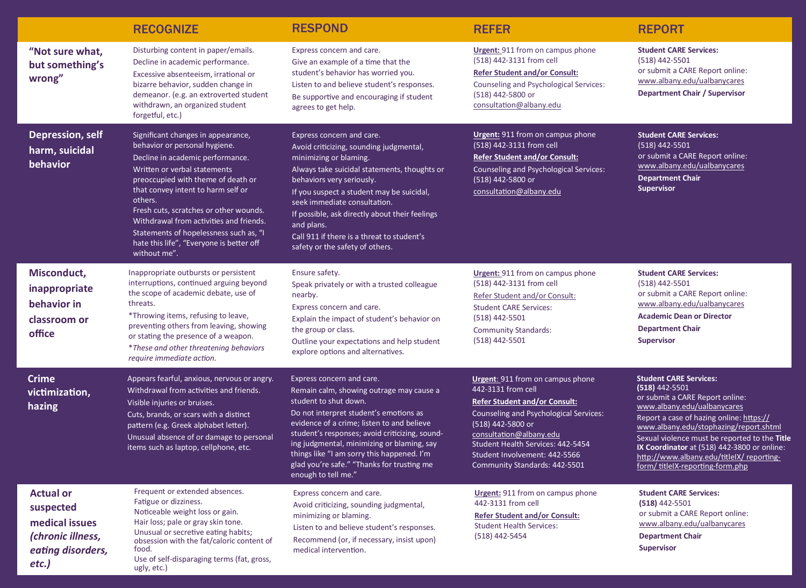|                                                                                                    | <b>RECOGNIZE</b>                                                                                                                                                                                                                                                                                                                                                                                                          | <b>RESPOND</b>                                                                                                                                                                                                                                                                                                                                                                                            | <b>REFER</b>                                                                                                                                                                                                                                                                                           | <b>REPORT</b>                                                                                                                                                                                                                                                                                                                                                                             |
|----------------------------------------------------------------------------------------------------|---------------------------------------------------------------------------------------------------------------------------------------------------------------------------------------------------------------------------------------------------------------------------------------------------------------------------------------------------------------------------------------------------------------------------|-----------------------------------------------------------------------------------------------------------------------------------------------------------------------------------------------------------------------------------------------------------------------------------------------------------------------------------------------------------------------------------------------------------|--------------------------------------------------------------------------------------------------------------------------------------------------------------------------------------------------------------------------------------------------------------------------------------------------------|-------------------------------------------------------------------------------------------------------------------------------------------------------------------------------------------------------------------------------------------------------------------------------------------------------------------------------------------------------------------------------------------|
| "Not sure what,<br>but something's<br>wrong"                                                       | Disturbing content in paper/emails.<br>Decline in academic performance.<br>Excessive absenteeism, irrational or<br>bizarre behavior, sudden change in<br>demeanor. (e.g. an extroverted student<br>withdrawn, an organized student<br>forgetful, etc.)                                                                                                                                                                    | Express concern and care.<br>Give an example of a time that the<br>student's behavior has worried you.<br>Listen to and believe student's responses.<br>Be supportive and encouraging if student<br>agrees to get help.                                                                                                                                                                                   | <b>Urgent:</b> 911 from on campus phone<br>(518) 442-3131 from cell<br><b>Refer Student and/or Consult:</b><br><b>Counseling and Psychological Services:</b><br>(518) 442-5800 or<br>consultation@albany.edu                                                                                           | <b>Student CARE Services:</b><br>(518) 442-5501<br>or submit a CARE Report online:<br>www.albany.edu/ualbanycares<br><b>Department Chair / Supervisor</b>                                                                                                                                                                                                                                 |
| <b>Depression, self</b><br>harm, suicidal<br>behavior                                              | Significant changes in appearance,<br>behavior or personal hygiene.<br>Decline in academic performance.<br>Written or verbal statements<br>preoccupied with theme of death or<br>that convey intent to harm self or<br>others.<br>Fresh cuts, scratches or other wounds.<br>Withdrawal from activities and friends.<br>Statements of hopelessness such as, "I<br>hate this life", "Everyone is better off<br>without me". | Express concern and care.<br>Avoid criticizing, sounding judgmental,<br>minimizing or blaming.<br>Always take suicidal statements, thoughts or<br>behaviors very seriously.<br>If you suspect a student may be suicidal,<br>seek immediate consultation.<br>If possible, ask directly about their feelings<br>and plans.<br>Call 911 if there is a threat to student's<br>safety or the safety of others. | <b>Urgent:</b> 911 from on campus phone<br>(518) 442-3131 from cell<br><b>Refer Student and/or Consult:</b><br>Counseling and Psychological Services:<br>(518) 442-5800 or<br>consultation@albany.edu                                                                                                  | <b>Student CARE Services:</b><br>(518) 442-5501<br>or submit a CARE Report online:<br>www.albany.edu/ualbanycares<br><b>Department Chair</b><br><b>Supervisor</b>                                                                                                                                                                                                                         |
| Misconduct,<br>inappropriate<br>behavior in<br>classroom or<br>office                              | Inappropriate outbursts or persistent<br>interruptions, continued arguing beyond<br>the scope of academic debate, use of<br>threats.<br>*Throwing items, refusing to leave,<br>preventing others from leaving, showing<br>or stating the presence of a weapon.<br>*These and other threatening behaviors<br>require immediate action.                                                                                     | Ensure safety.<br>Speak privately or with a trusted colleague<br>nearby.<br>Express concern and care.<br>Explain the impact of student's behavior on<br>the group or class.<br>Outline your expectations and help student<br>explore options and alternatives.                                                                                                                                            | <b>Urgent:</b> 911 from on campus phone<br>(518) 442-3131 from cell<br>Refer Student and/or Consult:<br><b>Student CARE Services:</b><br>(518) 442-5501<br><b>Community Standards:</b><br>$(518)$ 442-5501                                                                                             | <b>Student CARE Services:</b><br>(518) 442-5501<br>or submit a CARE Report online:<br>www.albany.edu/ualbanycares<br><b>Academic Dean or Director</b><br><b>Department Chair</b><br><b>Supervisor</b>                                                                                                                                                                                     |
| <b>Crime</b><br>victimization,<br>hazing                                                           | Appears fearful, anxious, nervous or angry.<br>Withdrawal from activities and friends.<br>Visible injuries or bruises.<br>Cuts, brands, or scars with a distinct<br>pattern (e.g. Greek alphabet letter).<br>Unusual absence of or damage to personal<br>items such as laptop, cellphone, etc.                                                                                                                            | Express concern and care.<br>Remain calm, showing outrage may cause a<br>student to shut down.<br>Do not interpret student's emotions as<br>evidence of a crime; listen to and believe<br>student's responses; avoid criticizing, sound-<br>ing judgmental, minimizing or blaming, say<br>things like "I am sorry this happened. I'm<br>glad you're safe." "Thanks for trusting me<br>enough to tell me." | <b>Urgent:</b> 911 from on campus phone<br>442-3131 from cell<br><b>Refer Student and/or Consult:</b><br>Counseling and Psychological Services:<br>(518) 442-5800 or<br>consultation@albany.edu<br>Student Health Services: 442-5454<br>Student Involvement: 442-5566<br>Community Standards: 442-5501 | <b>Student CARE Services:</b><br>$(518)$ 442-5501<br>or submit a CARE Report online:<br>www.albany.edu/ualbanycares<br>Report a case of hazing online: https://<br>www.albany.edu/stophazing/report.shtml<br>Sexual violence must be reported to the Title<br>IX Coordinator at (518) 442-3800 or online:<br>http://www.albany.edu/titleIX/reporting-<br>form/ titleIX-reporting-form.php |
| <b>Actual or</b><br>suspected<br>medical issues<br>(chronic illness,<br>eating disorders,<br>etc.) | Frequent or extended absences.<br>Fatigue or dizziness.<br>Noticeable weight loss or gain.<br>Hair loss; pale or gray skin tone.<br>Unusual or secretive eating habits;<br>obsession with the fat/caloric content of<br>food.<br>Use of self-disparaging terms (fat, gross,<br>ugly, etc.)                                                                                                                                | Express concern and care.<br>Avoid criticizing, sounding judgmental,<br>minimizing or blaming.<br>Listen to and believe student's responses.<br>Recommend (or, if necessary, insist upon)<br>medical intervention.                                                                                                                                                                                        | <b>Urgent:</b> 911 from on campus phone<br>442-3131 from cell<br><b>Refer Student and/or Consult:</b><br><b>Student Health Services:</b><br>(518) 442-5454                                                                                                                                             | <b>Student CARE Services:</b><br>$(518)$ 442-5501<br>or submit a CARE Report online:<br>www.albany.edu/ualbanycares<br><b>Department Chair</b><br><b>Supervisor</b>                                                                                                                                                                                                                       |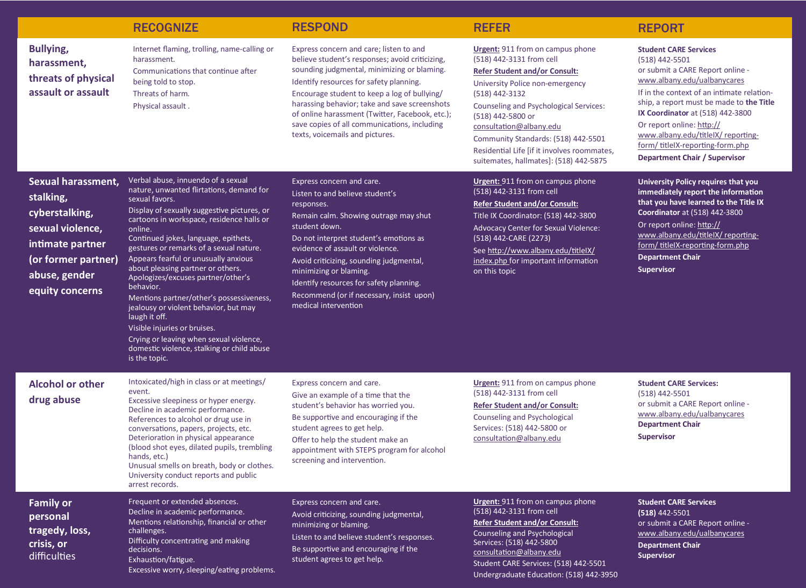|                                                                                                                                                      | <b>RECOGNIZE</b>                                                                                                                                                                                                                                                                                                                                                                                                                                                                                                                                                                                                                                                           | <b>RESPOND</b>                                                                                                                                                                                                                                                                                                                                                                                                              | <b>REFER</b>                                                                                                                                                                                                                                                                                                                                                                                      | <b>REPORT</b>                                                                                                                                                                                                                                                                                                                                                                                |
|------------------------------------------------------------------------------------------------------------------------------------------------------|----------------------------------------------------------------------------------------------------------------------------------------------------------------------------------------------------------------------------------------------------------------------------------------------------------------------------------------------------------------------------------------------------------------------------------------------------------------------------------------------------------------------------------------------------------------------------------------------------------------------------------------------------------------------------|-----------------------------------------------------------------------------------------------------------------------------------------------------------------------------------------------------------------------------------------------------------------------------------------------------------------------------------------------------------------------------------------------------------------------------|---------------------------------------------------------------------------------------------------------------------------------------------------------------------------------------------------------------------------------------------------------------------------------------------------------------------------------------------------------------------------------------------------|----------------------------------------------------------------------------------------------------------------------------------------------------------------------------------------------------------------------------------------------------------------------------------------------------------------------------------------------------------------------------------------------|
| <b>Bullying,</b><br>harassment,<br>threats of physical<br>assault or assault                                                                         | Internet flaming, trolling, name-calling or<br>harassment.<br>Communications that continue after<br>being told to stop.<br>Threats of harm.<br>Physical assault.                                                                                                                                                                                                                                                                                                                                                                                                                                                                                                           | Express concern and care; listen to and<br>believe student's responses; avoid criticizing,<br>sounding judgmental, minimizing or blaming.<br>Identify resources for safety planning.<br>Encourage student to keep a log of bullying/<br>harassing behavior; take and save screenshots<br>of online harassment (Twitter, Facebook, etc.);<br>save copies of all communications, including<br>texts, voicemails and pictures. | <b>Urgent:</b> 911 from on campus phone<br>(518) 442-3131 from cell<br><b>Refer Student and/or Consult:</b><br>University Police non-emergency<br>(518) 442-3132<br><b>Counseling and Psychological Services:</b><br>(518) 442-5800 or<br>consultation@albany.edu<br>Community Standards: (518) 442-5501<br>Residential Life [if it involves roommates,<br>suitemates, hallmates]: (518) 442-5875 | <b>Student CARE Services</b><br>(518) 442-5501<br>or submit a CARE Report online -<br>www.albany.edu/ualbanycares<br>If in the context of an intimate relation-<br>ship, a report must be made to the Title<br>IX Coordinator at (518) 442-3800<br>Or report online: http://<br>www.albany.edu/titleIX/reporting-<br>form/titleIX-reporting-form.php<br><b>Department Chair / Supervisor</b> |
| Sexual harassment,<br>stalking,<br>cyberstalking,<br>sexual violence,<br>intimate partner<br>(or former partner)<br>abuse, gender<br>equity concerns | Verbal abuse, innuendo of a sexual<br>nature, unwanted flirtations, demand for<br>sexual favors.<br>Display of sexually suggestive pictures, or<br>cartoons in workspace, residence halls or<br>online.<br>Continued jokes, language, epithets,<br>gestures or remarks of a sexual nature.<br>Appears fearful or unusually anxious<br>about pleasing partner or others.<br>Apologizes/excuses partner/other's<br>behavior.<br>Mentions partner/other's possessiveness,<br>jealousy or violent behavior, but may<br>laugh it off.<br>Visible injuries or bruises.<br>Crying or leaving when sexual violence,<br>domestic violence, stalking or child abuse<br>is the topic. | Express concern and care.<br>Listen to and believe student's<br>responses.<br>Remain calm. Showing outrage may shut<br>student down.<br>Do not interpret student's emotions as<br>evidence of assault or violence.<br>Avoid criticizing, sounding judgmental,<br>minimizing or blaming.<br>Identify resources for safety planning.<br>Recommend (or if necessary, insist upon)<br>medical intervention                      | <b>Urgent:</b> 911 from on campus phone<br>(518) 442-3131 from cell<br><b>Refer Student and/or Consult:</b><br>Title IX Coordinator: (518) 442-3800<br>Advocacy Center for Sexual Violence:<br>(518) 442-CARE (2273)<br>See http://www.albany.edu/titlelX/<br>index.php for important information<br>on this topic                                                                                | University Policy requires that you<br>immediately report the information<br>that you have learned to the Title IX<br><b>Coordinator</b> at (518) 442-3800<br>Or report online: http://<br>www.albany.edu/titleIX/ reporting-<br>form/titleIX-reporting-form.php<br><b>Department Chair</b><br><b>Supervisor</b>                                                                             |
| <b>Alcohol or other</b><br>drug abuse                                                                                                                | Intoxicated/high in class or at meetings/<br>event.<br>Excessive sleepiness or hyper energy.<br>Decline in academic performance.<br>References to alcohol or drug use in<br>conversations, papers, projects, etc.<br>Deterioration in physical appearance<br>(blood shot eyes, dilated pupils, trembling<br>hands, etc.)<br>Unusual smells on breath, body or clothes.<br>University conduct reports and public<br>arrest records.                                                                                                                                                                                                                                         | Express concern and care.<br>Give an example of a time that the<br>student's behavior has worried you.<br>Be supportive and encouraging if the<br>student agrees to get help.<br>Offer to help the student make an<br>appointment with STEPS program for alcohol<br>screening and intervention.                                                                                                                             | <b>Urgent:</b> 911 from on campus phone<br>(518) 442-3131 from cell<br><b>Refer Student and/or Consult:</b><br>Counseling and Psychological<br>Services: (518) 442-5800 or<br>consultation@albany.edu                                                                                                                                                                                             | <b>Student CARE Services:</b><br>$(518)$ 442-5501<br>or submit a CARE Report online -<br>www.albany.edu/ualbanycares<br><b>Department Chair</b><br><b>Supervisor</b>                                                                                                                                                                                                                         |
| <b>Family or</b><br>personal<br>tragedy, loss,<br>crisis, or<br>difficulties                                                                         | Frequent or extended absences.<br>Decline in academic performance.<br>Mentions relationship, financial or other<br>challenges.<br>Difficulty concentrating and making<br>decisions.<br>Exhaustion/fatigue.<br>Excessive worry, sleeping/eating problems.                                                                                                                                                                                                                                                                                                                                                                                                                   | Express concern and care.<br>Avoid criticizing, sounding judgmental,<br>minimizing or blaming.<br>Listen to and believe student's responses.<br>Be supportive and encouraging if the<br>student agrees to get help.                                                                                                                                                                                                         | <b>Urgent:</b> 911 from on campus phone<br>(518) 442-3131 from cell<br><b>Refer Student and/or Consult:</b><br>Counseling and Psychological<br>Services: (518) 442-5800<br>consultation@albany.edu<br>Student CARE Services: (518) 442-5501<br>Undergraduate Education: (518) 442-3950                                                                                                            | <b>Student CARE Services</b><br>$(518)$ 442-5501<br>or submit a CARE Report online -<br>www.albany.edu/ualbanycares<br><b>Department Chair</b><br><b>Supervisor</b>                                                                                                                                                                                                                          |